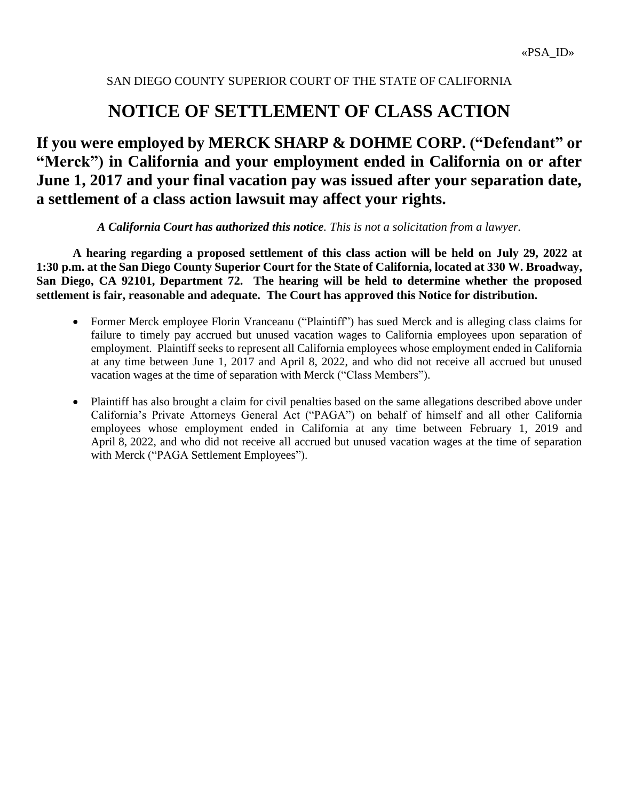# **NOTICE OF SETTLEMENT OF CLASS ACTION**

# **If you were employed by MERCK SHARP & DOHME CORP. ("Defendant" or "Merck") in California and your employment ended in California on or after June 1, 2017 and your final vacation pay was issued after your separation date, a settlement of a class action lawsuit may affect your rights.**

*A California Court has authorized this notice. This is not a solicitation from a lawyer.*

**A hearing regarding a proposed settlement of this class action will be held on July 29, 2022 at 1:30 p.m. at the San Diego County Superior Court for the State of California, located at 330 W. Broadway, San Diego, CA 92101, Department 72. The hearing will be held to determine whether the proposed settlement is fair, reasonable and adequate. The Court has approved this Notice for distribution.**

- Former Merck employee Florin Vranceanu ("Plaintiff") has sued Merck and is alleging class claims for failure to timely pay accrued but unused vacation wages to California employees upon separation of employment. Plaintiff seeks to represent all California employees whose employment ended in California at any time between June 1, 2017 and April 8, 2022, and who did not receive all accrued but unused vacation wages at the time of separation with Merck ("Class Members").
- Plaintiff has also brought a claim for civil penalties based on the same allegations described above under California's Private Attorneys General Act ("PAGA") on behalf of himself and all other California employees whose employment ended in California at any time between February 1, 2019 and April 8, 2022, and who did not receive all accrued but unused vacation wages at the time of separation with Merck ("PAGA Settlement Employees").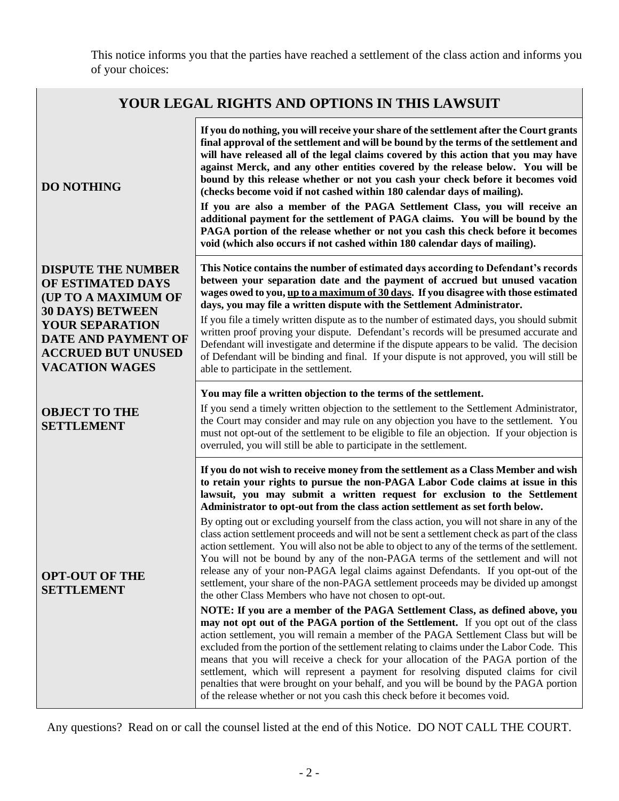This notice informs you that the parties have reached a settlement of the class action and informs you of your choices:

| YOUR LEGAL RIGHTS AND OPTIONS IN THIS LAWSUIT                                                                                                                                                    |                                                                                                                                                                                                                                                                                                                                                                                                                                                                                                                                                                                                                                                                                                                                                                                                                                                                                                                                                                                                                                                                                                                                                                                                                                                                                                                                                                                                                                                                                                                                                                                                                                                                                   |  |
|--------------------------------------------------------------------------------------------------------------------------------------------------------------------------------------------------|-----------------------------------------------------------------------------------------------------------------------------------------------------------------------------------------------------------------------------------------------------------------------------------------------------------------------------------------------------------------------------------------------------------------------------------------------------------------------------------------------------------------------------------------------------------------------------------------------------------------------------------------------------------------------------------------------------------------------------------------------------------------------------------------------------------------------------------------------------------------------------------------------------------------------------------------------------------------------------------------------------------------------------------------------------------------------------------------------------------------------------------------------------------------------------------------------------------------------------------------------------------------------------------------------------------------------------------------------------------------------------------------------------------------------------------------------------------------------------------------------------------------------------------------------------------------------------------------------------------------------------------------------------------------------------------|--|
| <b>DO NOTHING</b>                                                                                                                                                                                | If you do nothing, you will receive your share of the settlement after the Court grants<br>final approval of the settlement and will be bound by the terms of the settlement and<br>will have released all of the legal claims covered by this action that you may have<br>against Merck, and any other entities covered by the release below. You will be<br>bound by this release whether or not you cash your check before it becomes void<br>(checks become void if not cashed within 180 calendar days of mailing).<br>If you are also a member of the PAGA Settlement Class, you will receive an<br>additional payment for the settlement of PAGA claims. You will be bound by the<br>PAGA portion of the release whether or not you cash this check before it becomes<br>void (which also occurs if not cashed within 180 calendar days of mailing).                                                                                                                                                                                                                                                                                                                                                                                                                                                                                                                                                                                                                                                                                                                                                                                                                       |  |
| <b>DISPUTE THE NUMBER</b><br>OF ESTIMATED DAYS<br>(UP TO A MAXIMUM OF<br><b>30 DAYS) BETWEEN</b><br>YOUR SEPARATION<br>DATE AND PAYMENT OF<br><b>ACCRUED BUT UNUSED</b><br><b>VACATION WAGES</b> | This Notice contains the number of estimated days according to Defendant's records<br>between your separation date and the payment of accrued but unused vacation<br>wages owed to you, up to a maximum of 30 days. If you disagree with those estimated<br>days, you may file a written dispute with the Settlement Administrator.<br>If you file a timely written dispute as to the number of estimated days, you should submit<br>written proof proving your dispute. Defendant's records will be presumed accurate and<br>Defendant will investigate and determine if the dispute appears to be valid. The decision<br>of Defendant will be binding and final. If your dispute is not approved, you will still be<br>able to participate in the settlement.                                                                                                                                                                                                                                                                                                                                                                                                                                                                                                                                                                                                                                                                                                                                                                                                                                                                                                                   |  |
| <b>OBJECT TO THE</b><br><b>SETTLEMENT</b>                                                                                                                                                        | You may file a written objection to the terms of the settlement.<br>If you send a timely written objection to the settlement to the Settlement Administrator,<br>the Court may consider and may rule on any objection you have to the settlement. You<br>must not opt-out of the settlement to be eligible to file an objection. If your objection is<br>overruled, you will still be able to participate in the settlement.                                                                                                                                                                                                                                                                                                                                                                                                                                                                                                                                                                                                                                                                                                                                                                                                                                                                                                                                                                                                                                                                                                                                                                                                                                                      |  |
| <b>OPT-OUT OF THE</b><br><b>SETTLEMENT</b>                                                                                                                                                       | If you do not wish to receive money from the settlement as a Class Member and wish<br>to retain your rights to pursue the non-PAGA Labor Code claims at issue in this<br>lawsuit, you may submit a written request for exclusion to the Settlement<br>Administrator to opt-out from the class action settlement as set forth below.<br>By opting out or excluding yourself from the class action, you will not share in any of the<br>class action settlement proceeds and will not be sent a settlement check as part of the class<br>action settlement. You will also not be able to object to any of the terms of the settlement.<br>You will not be bound by any of the non-PAGA terms of the settlement and will not<br>release any of your non-PAGA legal claims against Defendants. If you opt-out of the<br>settlement, your share of the non-PAGA settlement proceeds may be divided up amongst<br>the other Class Members who have not chosen to opt-out.<br>NOTE: If you are a member of the PAGA Settlement Class, as defined above, you<br>may not opt out of the PAGA portion of the Settlement. If you opt out of the class<br>action settlement, you will remain a member of the PAGA Settlement Class but will be<br>excluded from the portion of the settlement relating to claims under the Labor Code. This<br>means that you will receive a check for your allocation of the PAGA portion of the<br>settlement, which will represent a payment for resolving disputed claims for civil<br>penalties that were brought on your behalf, and you will be bound by the PAGA portion<br>of the release whether or not you cash this check before it becomes void. |  |

Any questions? Read on or call the counsel listed at the end of this Notice. DO NOT CALL THE COURT.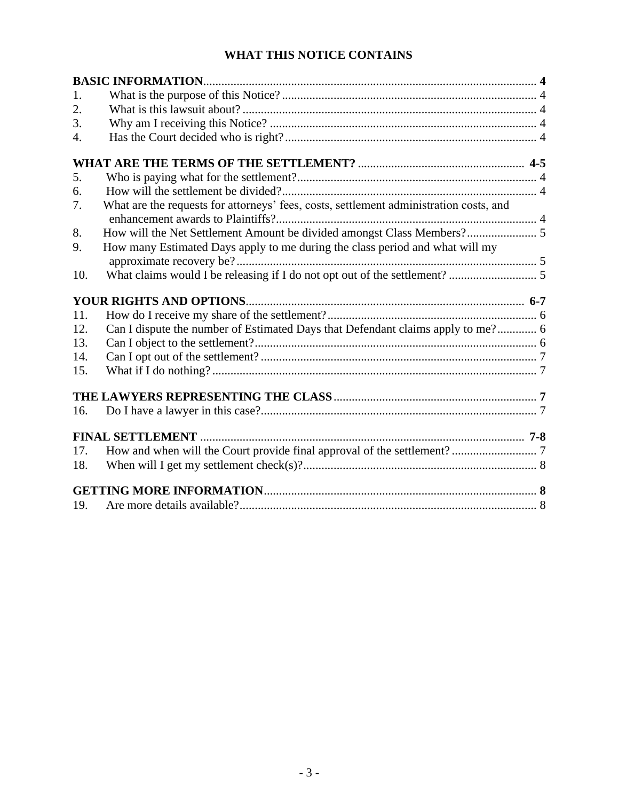## **WHAT THIS NOTICE CONTAINS**

| 1.  |                                                                                        |  |
|-----|----------------------------------------------------------------------------------------|--|
| 2.  |                                                                                        |  |
| 3.  |                                                                                        |  |
| 4.  |                                                                                        |  |
|     |                                                                                        |  |
| 5.  |                                                                                        |  |
| 6.  |                                                                                        |  |
| 7.  | What are the requests for attorneys' fees, costs, settlement administration costs, and |  |
| 8.  |                                                                                        |  |
| 9.  | How many Estimated Days apply to me during the class period and what will my           |  |
| 10. |                                                                                        |  |
|     |                                                                                        |  |
|     |                                                                                        |  |
| 11. |                                                                                        |  |
| 12. | Can I dispute the number of Estimated Days that Defendant claims apply to me? 6        |  |
| 13. |                                                                                        |  |
| 14. |                                                                                        |  |
| 15. |                                                                                        |  |
|     |                                                                                        |  |
| 16. |                                                                                        |  |
|     | <b>FINAL SETTLEMENT</b>                                                                |  |
| 17. |                                                                                        |  |
| 18. |                                                                                        |  |
|     |                                                                                        |  |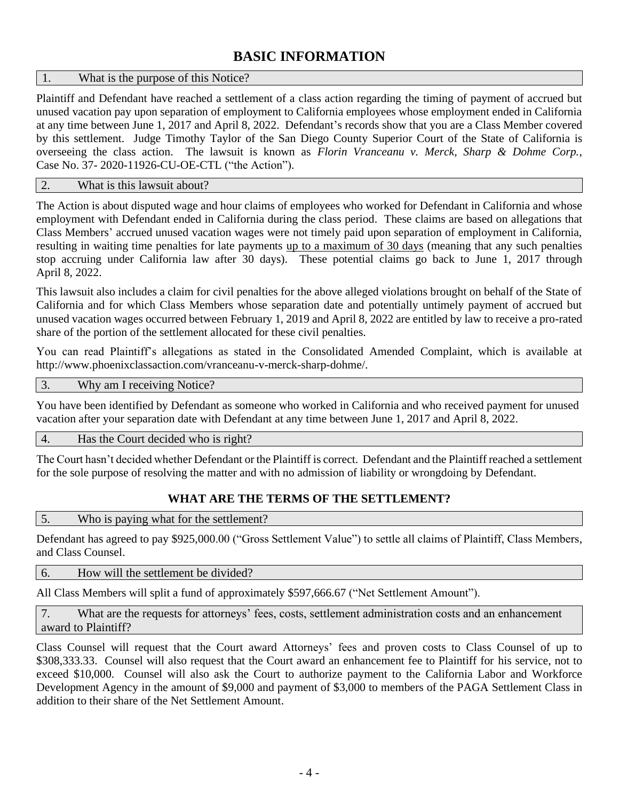# **BASIC INFORMATION**

#### 1. What is the purpose of this Notice?

Plaintiff and Defendant have reached a settlement of a class action regarding the timing of payment of accrued but unused vacation pay upon separation of employment to California employees whose employment ended in California at any time between June 1, 2017 and April 8, 2022. Defendant's records show that you are a Class Member covered by this settlement. Judge Timothy Taylor of the San Diego County Superior Court of the State of California is overseeing the class action. The lawsuit is known as *Florin Vranceanu v. Merck, Sharp & Dohme Corp.*, Case No. 37- 2020-11926-CU-OE-CTL ("the Action").

#### 2. What is this lawsuit about?

The Action is about disputed wage and hour claims of employees who worked for Defendant in California and whose employment with Defendant ended in California during the class period. These claims are based on allegations that Class Members' accrued unused vacation wages were not timely paid upon separation of employment in California, resulting in waiting time penalties for late payments up to a maximum of 30 days (meaning that any such penalties stop accruing under California law after 30 days). These potential claims go back to June 1, 2017 through April 8, 2022.

This lawsuit also includes a claim for civil penalties for the above alleged violations brought on behalf of the State of California and for which Class Members whose separation date and potentially untimely payment of accrued but unused vacation wages occurred between February 1, 2019 and April 8, 2022 are entitled by law to receive a pro-rated share of the portion of the settlement allocated for these civil penalties.

You can read Plaintiff's allegations as stated in the Consolidated Amended Complaint, which is available at http://www.phoenixclassaction.com/vranceanu-v-merck-sharp-dohme/.

#### 3. Why am I receiving Notice?

You have been identified by Defendant as someone who worked in California and who received payment for unused vacation after your separation date with Defendant at any time between June 1, 2017 and April 8, 2022.

#### 4. Has the Court decided who is right?

The Court hasn't decided whether Defendant or the Plaintiff is correct. Defendant and the Plaintiff reached a settlement for the sole purpose of resolving the matter and with no admission of liability or wrongdoing by Defendant.

#### **WHAT ARE THE TERMS OF THE SETTLEMENT?**

5. Who is paying what for the settlement?

Defendant has agreed to pay \$925,000.00 ("Gross Settlement Value") to settle all claims of Plaintiff, Class Members, and Class Counsel.

#### 6. How will the settlement be divided?

All Class Members will split a fund of approximately \$597,666.67 ("Net Settlement Amount").

7. What are the requests for attorneys' fees, costs, settlement administration costs and an enhancement award to Plaintiff?

Class Counsel will request that the Court award Attorneys' fees and proven costs to Class Counsel of up to \$308,333.33. Counsel will also request that the Court award an enhancement fee to Plaintiff for his service, not to exceed \$10,000. Counsel will also ask the Court to authorize payment to the California Labor and Workforce Development Agency in the amount of \$9,000 and payment of \$3,000 to members of the PAGA Settlement Class in addition to their share of the Net Settlement Amount.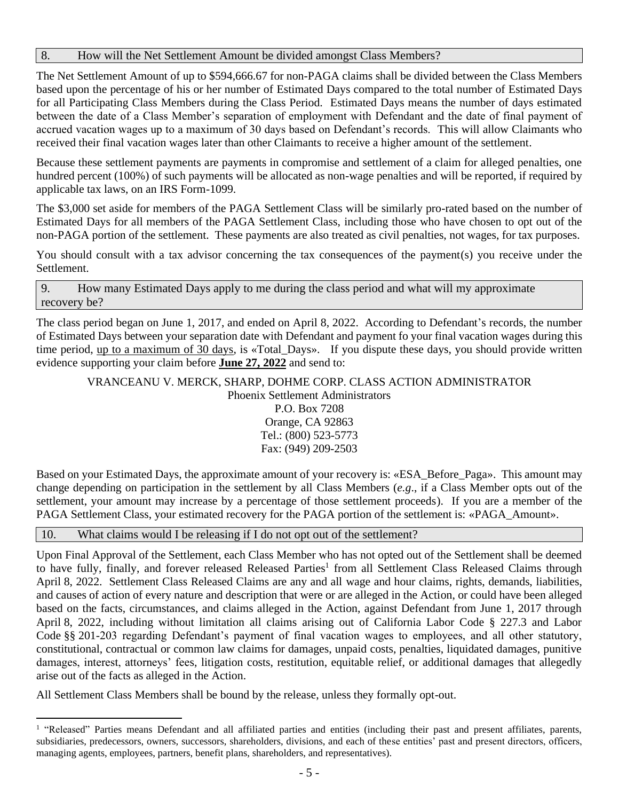#### 8. How will the Net Settlement Amount be divided amongst Class Members?

The Net Settlement Amount of up to \$594,666.67 for non-PAGA claims shall be divided between the Class Members based upon the percentage of his or her number of Estimated Days compared to the total number of Estimated Days for all Participating Class Members during the Class Period. Estimated Days means the number of days estimated between the date of a Class Member's separation of employment with Defendant and the date of final payment of accrued vacation wages up to a maximum of 30 days based on Defendant's records. This will allow Claimants who received their final vacation wages later than other Claimants to receive a higher amount of the settlement.

Because these settlement payments are payments in compromise and settlement of a claim for alleged penalties, one hundred percent (100%) of such payments will be allocated as non-wage penalties and will be reported, if required by applicable tax laws, on an IRS Form-1099.

The \$3,000 set aside for members of the PAGA Settlement Class will be similarly pro-rated based on the number of Estimated Days for all members of the PAGA Settlement Class, including those who have chosen to opt out of the non-PAGA portion of the settlement. These payments are also treated as civil penalties, not wages, for tax purposes.

You should consult with a tax advisor concerning the tax consequences of the payment(s) you receive under the Settlement.

9. How many Estimated Days apply to me during the class period and what will my approximate recovery be?

The class period began on June 1, 2017, and ended on April 8, 2022. According to Defendant's records, the number of Estimated Days between your separation date with Defendant and payment fo your final vacation wages during this time period, up to a maximum of 30 days, is «Total\_Days». If you dispute these days, you should provide written evidence supporting your claim before **June 27, 2022** and send to:

VRANCEANU V. MERCK, SHARP, DOHME CORP. CLASS ACTION ADMINISTRATOR Phoenix Settlement Administrators

P.O. Box 7208 Orange, CA 92863 Tel.: (800) 523-5773 Fax: (949) 209-2503

Based on your Estimated Days, the approximate amount of your recovery is: «ESA\_Before\_Paga». This amount may change depending on participation in the settlement by all Class Members (*e.g*., if a Class Member opts out of the settlement, your amount may increase by a percentage of those settlement proceeds). If you are a member of the PAGA Settlement Class, your estimated recovery for the PAGA portion of the settlement is: «PAGA\_Amount».

| 10. | What claims would I be releasing if I do not opt out of the settlement? |
|-----|-------------------------------------------------------------------------|
|-----|-------------------------------------------------------------------------|

Upon Final Approval of the Settlement, each Class Member who has not opted out of the Settlement shall be deemed to have fully, finally, and forever released Released Parties<sup>1</sup> from all Settlement Class Released Claims through April 8, 2022. Settlement Class Released Claims are any and all wage and hour claims, rights, demands, liabilities, and causes of action of every nature and description that were or are alleged in the Action, or could have been alleged based on the facts, circumstances, and claims alleged in the Action, against Defendant from June 1, 2017 through April 8, 2022, including without limitation all claims arising out of California Labor Code § 227.3 and Labor Code §§ 201-203 regarding Defendant's payment of final vacation wages to employees, and all other statutory, constitutional, contractual or common law claims for damages, unpaid costs, penalties, liquidated damages, punitive damages, interest, attorneys' fees, litigation costs, restitution, equitable relief, or additional damages that allegedly arise out of the facts as alleged in the Action.

All Settlement Class Members shall be bound by the release, unless they formally opt-out.

<sup>&</sup>lt;sup>1</sup> "Released" Parties means Defendant and all affiliated parties and entities (including their past and present affiliates, parents, subsidiaries, predecessors, owners, successors, shareholders, divisions, and each of these entities' past and present directors, officers, managing agents, employees, partners, benefit plans, shareholders, and representatives).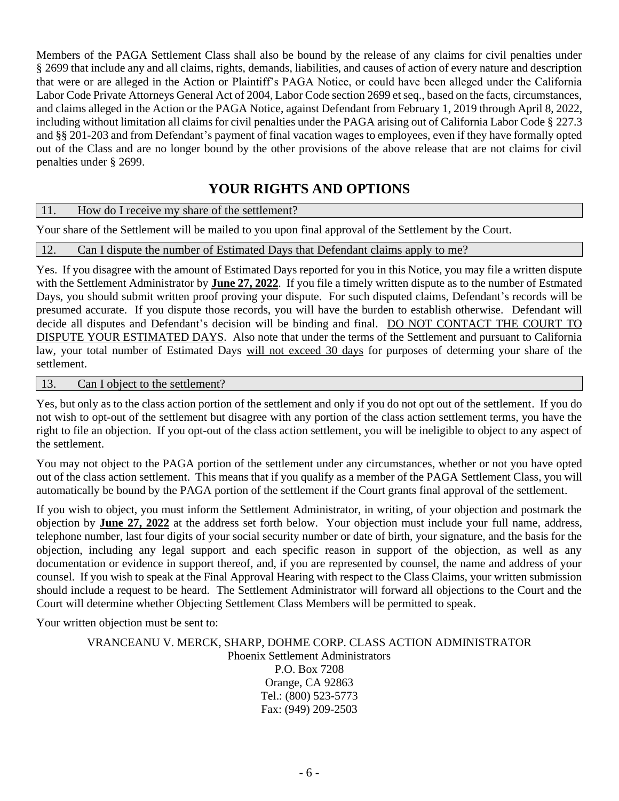Members of the PAGA Settlement Class shall also be bound by the release of any claims for civil penalties under § 2699 that include any and all claims, rights, demands, liabilities, and causes of action of every nature and description that were or are alleged in the Action or Plaintiff's PAGA Notice, or could have been alleged under the California Labor Code Private Attorneys General Act of 2004, Labor Code section 2699 et seq., based on the facts, circumstances, and claims alleged in the Action or the PAGA Notice, against Defendant from February 1, 2019 through April 8, 2022, including without limitation all claims for civil penalties under the PAGA arising out of California Labor Code § 227.3 and §§ 201-203 and from Defendant's payment of final vacation wages to employees, even if they have formally opted out of the Class and are no longer bound by the other provisions of the above release that are not claims for civil penalties under § 2699.

# **YOUR RIGHTS AND OPTIONS**

11. How do I receive my share of the settlement?

Your share of the Settlement will be mailed to you upon final approval of the Settlement by the Court.

12. Can I dispute the number of Estimated Days that Defendant claims apply to me?

Yes. If you disagree with the amount of Estimated Days reported for you in this Notice, you may file a written dispute with the Settlement Administrator by **June 27, 2022**. If you file a timely written dispute as to the number of Estmated Days, you should submit written proof proving your dispute. For such disputed claims, Defendant's records will be presumed accurate. If you dispute those records, you will have the burden to establish otherwise. Defendant will decide all disputes and Defendant's decision will be binding and final. DO NOT CONTACT THE COURT TO DISPUTE YOUR ESTIMATED DAYS. Also note that under the terms of the Settlement and pursuant to California law, your total number of Estimated Days will not exceed 30 days for purposes of determing your share of the settlement.

13. Can I object to the settlement?

Yes, but only as to the class action portion of the settlement and only if you do not opt out of the settlement. If you do not wish to opt-out of the settlement but disagree with any portion of the class action settlement terms, you have the right to file an objection. If you opt-out of the class action settlement, you will be ineligible to object to any aspect of the settlement.

You may not object to the PAGA portion of the settlement under any circumstances, whether or not you have opted out of the class action settlement. This means that if you qualify as a member of the PAGA Settlement Class, you will automatically be bound by the PAGA portion of the settlement if the Court grants final approval of the settlement.

If you wish to object, you must inform the Settlement Administrator, in writing, of your objection and postmark the objection by **June 27, 2022** at the address set forth below. Your objection must include your full name, address, telephone number, last four digits of your social security number or date of birth, your signature, and the basis for the objection, including any legal support and each specific reason in support of the objection, as well as any documentation or evidence in support thereof, and, if you are represented by counsel, the name and address of your counsel. If you wish to speak at the Final Approval Hearing with respect to the Class Claims, your written submission should include a request to be heard. The Settlement Administrator will forward all objections to the Court and the Court will determine whether Objecting Settlement Class Members will be permitted to speak.

Your written objection must be sent to:

#### VRANCEANU V. MERCK, SHARP, DOHME CORP. CLASS ACTION ADMINISTRATOR Phoenix Settlement Administrators P.O. Box 7208 Orange, CA 92863 Tel.: (800) 523-5773 Fax: (949) 209-2503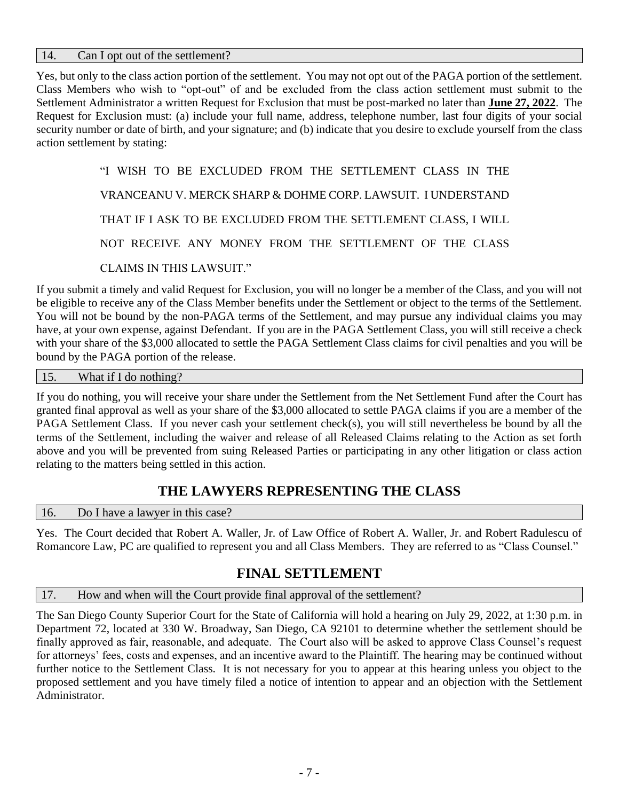#### 14. Can I opt out of the settlement?

Yes, but only to the class action portion of the settlement. You may not opt out of the PAGA portion of the settlement. Class Members who wish to "opt-out" of and be excluded from the class action settlement must submit to the Settlement Administrator a written Request for Exclusion that must be post-marked no later than **June 27, 2022**. The Request for Exclusion must: (a) include your full name, address, telephone number, last four digits of your social security number or date of birth, and your signature; and (b) indicate that you desire to exclude yourself from the class action settlement by stating:

> "I WISH TO BE EXCLUDED FROM THE SETTLEMENT CLASS IN THE VRANCEANU V. MERCK SHARP & DOHME CORP. LAWSUIT. I UNDERSTAND THAT IF I ASK TO BE EXCLUDED FROM THE SETTLEMENT CLASS, I WILL NOT RECEIVE ANY MONEY FROM THE SETTLEMENT OF THE CLASS CLAIMS IN THIS LAWSUIT."

If you submit a timely and valid Request for Exclusion, you will no longer be a member of the Class, and you will not be eligible to receive any of the Class Member benefits under the Settlement or object to the terms of the Settlement. You will not be bound by the non-PAGA terms of the Settlement, and may pursue any individual claims you may have, at your own expense, against Defendant. If you are in the PAGA Settlement Class, you will still receive a check with your share of the \$3,000 allocated to settle the PAGA Settlement Class claims for civil penalties and you will be bound by the PAGA portion of the release.

15. What if I do nothing?

If you do nothing, you will receive your share under the Settlement from the Net Settlement Fund after the Court has granted final approval as well as your share of the \$3,000 allocated to settle PAGA claims if you are a member of the PAGA Settlement Class. If you never cash your settlement check(s), you will still nevertheless be bound by all the terms of the Settlement, including the waiver and release of all Released Claims relating to the Action as set forth above and you will be prevented from suing Released Parties or participating in any other litigation or class action relating to the matters being settled in this action.

### **THE LAWYERS REPRESENTING THE CLASS**

16. Do I have a lawyer in this case?

Yes. The Court decided that Robert A. Waller, Jr. of Law Office of Robert A. Waller, Jr. and Robert Radulescu of Romancore Law, PC are qualified to represent you and all Class Members. They are referred to as "Class Counsel."

### **FINAL SETTLEMENT**

#### 17. How and when will the Court provide final approval of the settlement?

The San Diego County Superior Court for the State of California will hold a hearing on July 29, 2022, at 1:30 p.m. in Department 72, located at 330 W. Broadway, San Diego, CA 92101 to determine whether the settlement should be finally approved as fair, reasonable, and adequate. The Court also will be asked to approve Class Counsel's request for attorneys' fees, costs and expenses, and an incentive award to the Plaintiff. The hearing may be continued without further notice to the Settlement Class. It is not necessary for you to appear at this hearing unless you object to the proposed settlement and you have timely filed a notice of intention to appear and an objection with the Settlement Administrator.